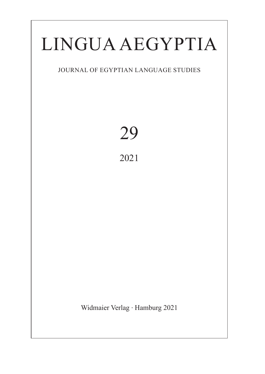# Lingua Aegyptia

# Journal of Egyptian Language Studies

29 2021

Widmaier Verlag ∙ Hamburg 2021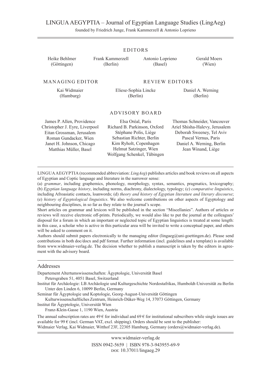### LINGUAAEGYPTIA – Journal of Egyptian Language Studies (LingAeg)

founded by Friedrich Junge, Frank Kammerzell & Antonio Loprieno

| Heike Behlmer<br>(Göttingen)                                                                                                                                              | Frank Kammerzell<br>(Berlin) | Antonio Loprieno<br>(Basel)                                                                                                                                                                | Gerald Moers<br>(Wien)                                                                                                                                                |  |
|---------------------------------------------------------------------------------------------------------------------------------------------------------------------------|------------------------------|--------------------------------------------------------------------------------------------------------------------------------------------------------------------------------------------|-----------------------------------------------------------------------------------------------------------------------------------------------------------------------|--|
| MANAGING EDITOR                                                                                                                                                           |                              | REVIEW EDITORS                                                                                                                                                                             |                                                                                                                                                                       |  |
| Kai Widmaier<br>(Hamburg)                                                                                                                                                 |                              | Eliese-Sophia Lincke<br>(Berlin)                                                                                                                                                           | Daniel A. Werning<br>(Berlin)                                                                                                                                         |  |
|                                                                                                                                                                           |                              | ADVISORY BOARD                                                                                                                                                                             |                                                                                                                                                                       |  |
| James P. Allen, Providence<br>Christopher J. Eyre, Liverpool<br>Eitan Grossman, Jerusalem<br>Roman Gundacker, Wien<br>Janet H. Johnson, Chicago<br>Matthias Müller, Basel |                              | Elsa Oréal, Paris<br>Richard B. Parkinson, Oxford<br>Stéphane Polis, Liège<br>Sebastian Richter, Berlin<br>Kim Ryholt, Copenhagen<br>Helmut Satzinger, Wien<br>Wolfgang Schenkel, Tübingen | Thomas Schneider, Vancouver<br>Ariel Shisha-Halevy, Jerusalem<br>Deborah Sweeney, Tel Aviv<br>Pascal Vernus, Paris<br>Daniel A. Werning, Berlin<br>Jean Winand, Liège |  |

Lingua Aegyptia (recommended abbreviation: *LingAeg*) publishes articles and book reviews on all aspects

of Egyptian and Coptic language and literature in the narrower sense:

(a) *grammar*, including graphemics, phonology, morphology, syntax, semantics, pragmatics, lexicography; (b) *Egyptian language history*, including norms, diachrony, dialectology, typology; (c) *comparative linguistics*, including Afroasiatic contacts, loanwords; (d) *theory and history of Egyptian literature and literary discourse*; (e) *history of Egyptological linguistics*. We also welcome contributions on other aspects of Egyptology and neighbouring disciplines, in so far as they relate to the journal's scope.

Short articles on grammar and lexicon will be published in the section "Miscellanies". Authors of articles or reviews will receive electronic off-prints. Periodically, we would also like to put the journal at the colleagues' disposal for a forum in which an important or neglected topic of Egyptian linguistics is treated at some length: in this case, a scholar who is active in this particular area will be invited to write a conceptual paper, and others will be asked to comment on it.

Authors should submit papers electronically to the managing editor (lingaeg@uni-goettingen.de). Please send contributions in both doc/docx and pdf format. Further information (incl. guidelines and a template) is available from www.widmaier-verlag.de. The decision whether to publish a manuscript is taken by the editors in agreement with the advisory board.

#### Addresses

Departement Altertumswissenschaften: Ägyptologie, Universität Basel Petersgraben 51, 4051 Basel, Switzerland

Institut für Archäologie: LB Archäologie und Kulturgeschichte Nordostafrikas, Humboldt-Universität zu Berlin Unter den Linden 6, 10099 Berlin, Germany

Seminar für Ägyptologie und Koptologie, Georg-August-Universität Göttingen

Kulturwissenschaftliches Zentrum, Heinrich-Düker-Weg 14, 37073 Göttingen, Germany

Institut für Ägyptologie, Universität Wien

Franz-Klein-Gasse 1, 1190 Wien, Austria

The annual subscription rates are  $49 \in$  for individual and  $69 \in$  for institutional subscribers while single issues are available for 99  $\epsilon$  (incl. German VAT, excl. shipping). Orders should be sent to the publisher: Widmaier Verlag, Kai Widmaier, Witthof 23F, 22305 Hamburg, Germany (orders@widmaier-verlag.de).

> www.widmaier-verlag.de ISSN 0942-5659 | ISBN 978-3-943955-69-9 doi: 10.37011/lingaeg.29

#### Editors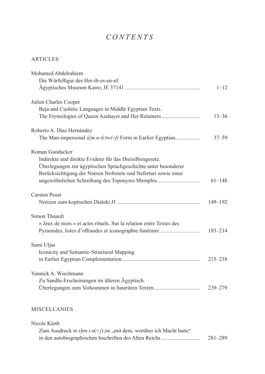# $CONTENTS$

## **ARTICLES**

| Mohamed Abdelrahiem                                                                              |             |
|--------------------------------------------------------------------------------------------------|-------------|
| Die Würfelfigur des Her-ib-es-en-ef.                                                             |             |
|                                                                                                  | $1 - 12$    |
| Julien Charles Cooper                                                                            |             |
| Beja and Cushitic Languages in Middle Egyptian Texts.                                            |             |
| The Etymologies of Queen Aashayet and Her Retainers                                              | $13 - 36$   |
| Roberto A. Díaz Hernández                                                                        |             |
| The Man-impersonal $\frac{\dot{S}\dot{\rho}m.n-t\dot{l}/tw}{\epsilon}f$ Form in Earlier Egyptian | $37 - 59$   |
| Roman Gundacker                                                                                  |             |
| Indirekte und direkte Evidenz für das Dreisilbengesetz.                                          |             |
| Überlegungen zur ägyptischen Sprachgeschichte unter besonderer                                   |             |
| Berücksichtigung der Namen Nofretete und Nefertari sowie einer                                   |             |
| ungewöhnlichen Schreibung des Toponyms Memphis                                                   | $61 - 148$  |
| <b>Carsten Peust</b>                                                                             |             |
|                                                                                                  | $149 - 192$ |
| Simon Thuault                                                                                    |             |
| « Jeux de mots » et actes rituels. Sur la relation entre Textes des                              |             |
|                                                                                                  | 193-214     |
| Sami Uljas                                                                                       |             |
| Iconicity and Semantic-Structural Mapping                                                        |             |
|                                                                                                  | $215 - 238$ |
| Yannick A. Wiechmann                                                                             |             |
| Zu Sandhi-Erscheinungen im älteren Ägyptisch.                                                    |             |
|                                                                                                  | $239 - 279$ |
|                                                                                                  |             |

# **MISCELLANIES**

| Nicole Kloth                                                                      |         |
|-----------------------------------------------------------------------------------|---------|
| Zum Ausdruck <i>m shm.t.n</i> (= <i>j) jm</i> , mit dem, worüber ich Macht hatte" |         |
|                                                                                   | 281–289 |